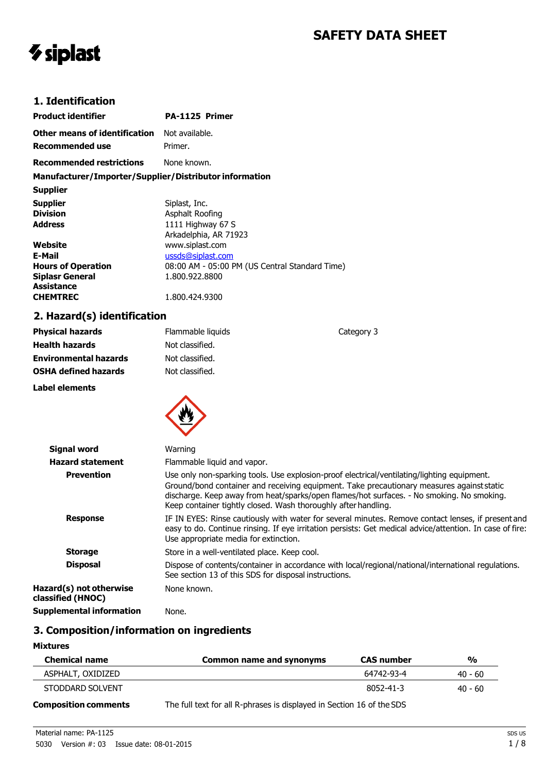# **SAFETY DATA SHEET**

# *V* siplast

### **1. Identification**

| <b>Product identifier</b>                              | PA-1125 Primer                                 |
|--------------------------------------------------------|------------------------------------------------|
| Other means of identification                          | Not available.                                 |
| Recommended use                                        | Primer.                                        |
| <b>Recommended restrictions</b>                        | None known.                                    |
| Manufacturer/Importer/Supplier/Distributor information |                                                |
| <b>Supplier</b>                                        |                                                |
| <b>Supplier</b>                                        | Siplast, Inc.                                  |
| <b>Division</b>                                        | Asphalt Roofing                                |
| <b>Address</b>                                         | 1111 Highway 67 S                              |
|                                                        | Arkadelphia, AR 71923                          |
| Website                                                | www.siplast.com                                |
| E-Mail                                                 | ussds@siplast.com                              |
| <b>Hours of Operation</b>                              | 08:00 AM - 05:00 PM (US Central Standard Time) |
| <b>Siplasr General</b>                                 | 1.800.922.8800                                 |
| <b>Assistance</b>                                      |                                                |
| <b>CHEMTREC</b>                                        | 1.800.424.9300                                 |

## **2. Hazard(s) identification**

| <b>Physical hazards</b>      | Flammable liquids | Category 3 |
|------------------------------|-------------------|------------|
| <b>Health hazards</b>        | Not classified.   |            |
| <b>Environmental hazards</b> | Not classified.   |            |
| <b>OSHA defined hazards</b>  | Not classified.   |            |
| Label elements               |                   |            |
|                              |                   |            |



| <b>Signal word</b>                           | Warning                                                                                                                                                                                                                                                                                                                                                 |
|----------------------------------------------|---------------------------------------------------------------------------------------------------------------------------------------------------------------------------------------------------------------------------------------------------------------------------------------------------------------------------------------------------------|
| <b>Hazard statement</b>                      | Flammable liquid and vapor.                                                                                                                                                                                                                                                                                                                             |
| <b>Prevention</b>                            | Use only non-sparking tools. Use explosion-proof electrical/ventilating/lighting equipment.<br>Ground/bond container and receiving equipment. Take precautionary measures against static<br>discharge. Keep away from heat/sparks/open flames/hot surfaces. - No smoking. No smoking.<br>Keep container tightly closed. Wash thoroughly after handling. |
| <b>Response</b>                              | IF IN EYES: Rinse cautiously with water for several minutes. Remove contact lenses, if present and<br>easy to do. Continue rinsing. If eye irritation persists: Get medical advice/attention. In case of fire:<br>Use appropriate media for extinction.                                                                                                 |
| <b>Storage</b>                               | Store in a well-ventilated place. Keep cool.                                                                                                                                                                                                                                                                                                            |
| <b>Disposal</b>                              | Dispose of contents/container in accordance with local/regional/national/international regulations.<br>See section 13 of this SDS for disposal instructions.                                                                                                                                                                                            |
| Hazard(s) not otherwise<br>classified (HNOC) | None known.                                                                                                                                                                                                                                                                                                                                             |
| <b>Supplemental information</b>              | None.                                                                                                                                                                                                                                                                                                                                                   |

## **3. Composition/information on ingredients**

## **Mixtures**

| <b>Chemical name</b>        | Common name and synonyms                                              | <b>CAS number</b> | $\frac{0}{0}$ |
|-----------------------------|-----------------------------------------------------------------------|-------------------|---------------|
| ASPHALT, OXIDIZED           |                                                                       | 64742-93-4        | $40 - 60$     |
| STODDARD SOLVENT            |                                                                       | 8052-41-3         | $40 - 60$     |
| <b>Composition comments</b> | The full text for all R-phrases is displayed in Section 16 of the SDS |                   |               |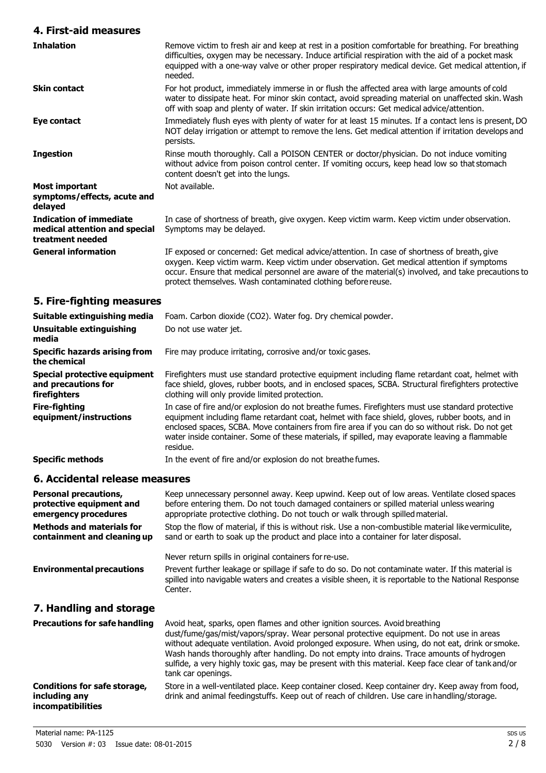#### **4. First-aid measures**

| <b>Inhalation</b>                                                                   | Remove victim to fresh air and keep at rest in a position comfortable for breathing. For breathing<br>difficulties, oxygen may be necessary. Induce artificial respiration with the aid of a pocket mask<br>equipped with a one-way valve or other proper respiratory medical device. Get medical attention, if<br>needed.                                       |
|-------------------------------------------------------------------------------------|------------------------------------------------------------------------------------------------------------------------------------------------------------------------------------------------------------------------------------------------------------------------------------------------------------------------------------------------------------------|
| <b>Skin contact</b>                                                                 | For hot product, immediately immerse in or flush the affected area with large amounts of cold<br>water to dissipate heat. For minor skin contact, avoid spreading material on unaffected skin. Wash<br>off with soap and plenty of water. If skin irritation occurs: Get medical advice/attention.                                                               |
| Eye contact                                                                         | Immediately flush eyes with plenty of water for at least 15 minutes. If a contact lens is present, DO<br>NOT delay irrigation or attempt to remove the lens. Get medical attention if irritation develops and<br>persists.                                                                                                                                       |
| <b>Ingestion</b>                                                                    | Rinse mouth thoroughly. Call a POISON CENTER or doctor/physician. Do not induce vomiting<br>without advice from poison control center. If vomiting occurs, keep head low so that stomach<br>content doesn't get into the lungs.                                                                                                                                  |
| <b>Most important</b><br>symptoms/effects, acute and<br>delayed                     | Not available.                                                                                                                                                                                                                                                                                                                                                   |
| <b>Indication of immediate</b><br>medical attention and special<br>treatment needed | In case of shortness of breath, give oxygen. Keep victim warm. Keep victim under observation.<br>Symptoms may be delayed.                                                                                                                                                                                                                                        |
| <b>General information</b>                                                          | IF exposed or concerned: Get medical advice/attention. In case of shortness of breath, give<br>oxygen. Keep victim warm. Keep victim under observation. Get medical attention if symptoms<br>occur. Ensure that medical personnel are aware of the material(s) involved, and take precautions to<br>protect themselves. Wash contaminated clothing before reuse. |

## **5. Fire-fighting measures**

| Suitable extinguishing media                                        | Foam. Carbon dioxide (CO2). Water fog. Dry chemical powder.                                                                                                                                                                                                                                                                                                                                                          |
|---------------------------------------------------------------------|----------------------------------------------------------------------------------------------------------------------------------------------------------------------------------------------------------------------------------------------------------------------------------------------------------------------------------------------------------------------------------------------------------------------|
| Unsuitable extinguishing<br>media                                   | Do not use water jet.                                                                                                                                                                                                                                                                                                                                                                                                |
| <b>Specific hazards arising from</b><br>the chemical                | Fire may produce irritating, corrosive and/or toxic gases.                                                                                                                                                                                                                                                                                                                                                           |
| Special protective equipment<br>and precautions for<br>firefighters | Firefighters must use standard protective equipment including flame retardant coat, helmet with<br>face shield, gloves, rubber boots, and in enclosed spaces, SCBA. Structural firefighters protective<br>clothing will only provide limited protection.                                                                                                                                                             |
| <b>Fire-fighting</b><br>equipment/instructions                      | In case of fire and/or explosion do not breathe fumes. Firefighters must use standard protective<br>equipment including flame retardant coat, helmet with face shield, gloves, rubber boots, and in<br>enclosed spaces, SCBA. Move containers from fire area if you can do so without risk. Do not get<br>water inside container. Some of these materials, if spilled, may evaporate leaving a flammable<br>residue. |
| <b>Specific methods</b>                                             | In the event of fire and/or explosion do not breathe fumes.                                                                                                                                                                                                                                                                                                                                                          |
|                                                                     |                                                                                                                                                                                                                                                                                                                                                                                                                      |

#### **6. Accidental release measures**

| <b>Personal precautions,</b><br>protective equipment and<br>emergency procedures<br><b>Methods and materials for</b><br>containment and cleaning up | Keep unnecessary personnel away. Keep upwind. Keep out of low areas. Ventilate closed spaces<br>before entering them. Do not touch damaged containers or spilled material unless wearing<br>appropriate protective clothing. Do not touch or walk through spilled material.<br>Stop the flow of material, if this is without risk. Use a non-combustible material like vermiculite,<br>sand or earth to soak up the product and place into a container for later disposal.                           |
|-----------------------------------------------------------------------------------------------------------------------------------------------------|------------------------------------------------------------------------------------------------------------------------------------------------------------------------------------------------------------------------------------------------------------------------------------------------------------------------------------------------------------------------------------------------------------------------------------------------------------------------------------------------------|
|                                                                                                                                                     | Never return spills in original containers for re-use.                                                                                                                                                                                                                                                                                                                                                                                                                                               |
| <b>Environmental precautions</b>                                                                                                                    | Prevent further leakage or spillage if safe to do so. Do not contaminate water. If this material is<br>spilled into navigable waters and creates a visible sheen, it is reportable to the National Response<br>Center.                                                                                                                                                                                                                                                                               |
| 7. Handling and storage                                                                                                                             |                                                                                                                                                                                                                                                                                                                                                                                                                                                                                                      |
| <b>Precautions for safe handling</b>                                                                                                                | Avoid heat, sparks, open flames and other ignition sources. Avoid breathing<br>dust/fume/gas/mist/vapors/spray. Wear personal protective equipment. Do not use in areas<br>without adequate ventilation. Avoid prolonged exposure. When using, do not eat, drink or smoke.<br>Wash hands thoroughly after handling. Do not empty into drains. Trace amounts of hydrogen<br>sulfide, a very highly toxic gas, may be present with this material. Keep face clear of tank and/or<br>tank car openings. |
| Conditions for safe storage,<br>including any<br><i>incompatibilities</i>                                                                           | Store in a well-ventilated place. Keep container closed. Keep container dry. Keep away from food,<br>drink and animal feedingstuffs. Keep out of reach of children. Use care in handling/storage.                                                                                                                                                                                                                                                                                                    |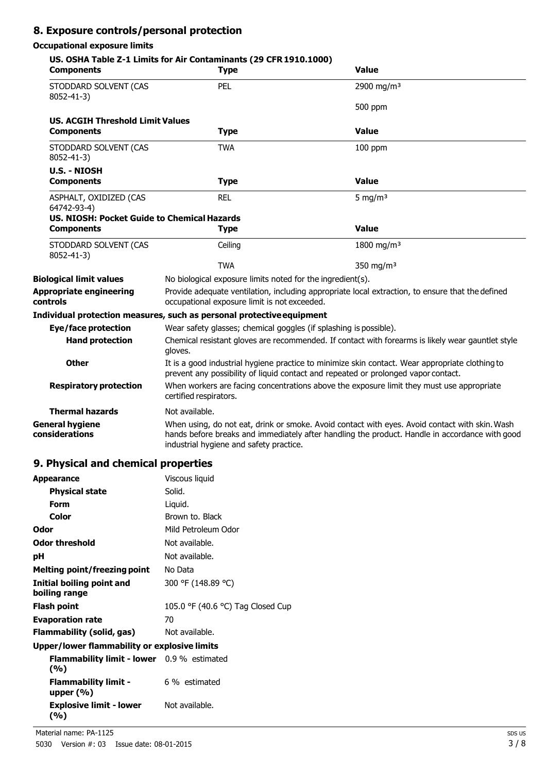## **8. Exposure controls/personal protection**

#### **Occupational exposure limits**

| <b>Components</b>                           | US. OSHA Table Z-1 Limits for Air Contaminants (29 CFR 1910.1000)<br><b>Type</b>                                                                                                      | <b>Value</b>                                                                                                                                                                                     |
|---------------------------------------------|---------------------------------------------------------------------------------------------------------------------------------------------------------------------------------------|--------------------------------------------------------------------------------------------------------------------------------------------------------------------------------------------------|
| STODDARD SOLVENT (CAS<br>8052-41-3)         | <b>PEL</b>                                                                                                                                                                            | 2900 mg/m <sup>3</sup>                                                                                                                                                                           |
|                                             |                                                                                                                                                                                       | 500 ppm                                                                                                                                                                                          |
| <b>US. ACGIH Threshold Limit Values</b>     |                                                                                                                                                                                       |                                                                                                                                                                                                  |
| <b>Components</b>                           | <b>Type</b>                                                                                                                                                                           | <b>Value</b>                                                                                                                                                                                     |
| STODDARD SOLVENT (CAS<br>8052-41-3)         | <b>TWA</b>                                                                                                                                                                            | $100$ ppm                                                                                                                                                                                        |
| <b>U.S. - NIOSH</b>                         |                                                                                                                                                                                       |                                                                                                                                                                                                  |
| <b>Components</b>                           | <b>Type</b>                                                                                                                                                                           | <b>Value</b>                                                                                                                                                                                     |
| ASPHALT, OXIDIZED (CAS<br>64742-93-4)       | <b>REL</b>                                                                                                                                                                            | 5 mg/m $3$                                                                                                                                                                                       |
| US. NIOSH: Pocket Guide to Chemical Hazards |                                                                                                                                                                                       |                                                                                                                                                                                                  |
| <b>Components</b>                           | <b>Type</b>                                                                                                                                                                           | <b>Value</b>                                                                                                                                                                                     |
| STODDARD SOLVENT (CAS<br>8052-41-3)         | Ceiling                                                                                                                                                                               | 1800 mg/m <sup>3</sup>                                                                                                                                                                           |
|                                             | <b>TWA</b>                                                                                                                                                                            | 350 mg/m <sup>3</sup>                                                                                                                                                                            |
| <b>Biological limit values</b>              | No biological exposure limits noted for the ingredient(s).                                                                                                                            |                                                                                                                                                                                                  |
| <b>Appropriate engineering</b><br>controls  | occupational exposure limit is not exceeded.                                                                                                                                          | Provide adequate ventilation, including appropriate local extraction, to ensure that the defined                                                                                                 |
|                                             | Individual protection measures, such as personal protective equipment                                                                                                                 |                                                                                                                                                                                                  |
| Eye/face protection                         | Wear safety glasses; chemical goggles (if splashing is possible).                                                                                                                     |                                                                                                                                                                                                  |
| <b>Hand protection</b>                      | Chemical resistant gloves are recommended. If contact with forearms is likely wear gauntlet style<br>gloves.                                                                          |                                                                                                                                                                                                  |
| <b>Other</b>                                | It is a good industrial hygiene practice to minimize skin contact. Wear appropriate clothing to<br>prevent any possibility of liquid contact and repeated or prolonged vapor contact. |                                                                                                                                                                                                  |
| <b>Respiratory protection</b>               | When workers are facing concentrations above the exposure limit they must use appropriate<br>certified respirators.                                                                   |                                                                                                                                                                                                  |
| <b>Thermal hazards</b>                      | Not available.                                                                                                                                                                        |                                                                                                                                                                                                  |
| <b>General hygiene</b><br>considerations    | industrial hygiene and safety practice.                                                                                                                                               | When using, do not eat, drink or smoke. Avoid contact with eyes. Avoid contact with skin. Wash<br>hands before breaks and immediately after handling the product. Handle in accordance with good |

# **9. Physical and chemical properties**

| <b>Appearance</b>                                         | Viscous liquid                    |  |
|-----------------------------------------------------------|-----------------------------------|--|
| <b>Physical state</b>                                     | Solid.                            |  |
| Form                                                      | Liquid.                           |  |
| Color                                                     | Brown to. Black                   |  |
| Odor                                                      | Mild Petroleum Odor               |  |
| <b>Odor threshold</b>                                     | Not available.                    |  |
| рH                                                        | Not available.                    |  |
| Melting point/freezing point                              | No Data                           |  |
| <b>Initial boiling point and</b><br>boiling range         | 300 °F (148.89 °C)                |  |
| <b>Flash point</b>                                        | 105.0 °F (40.6 °C) Tag Closed Cup |  |
| <b>Evaporation rate</b>                                   | 70                                |  |
| Flammability (solid, gas)                                 | Not available.                    |  |
| <b>Upper/lower flammability or explosive limits</b>       |                                   |  |
| <b>Flammability limit - lower</b> $0.9%$ estimated<br>(%) |                                   |  |
| <b>Flammability limit -</b><br>upper $(\% )$              | 6 % estimated                     |  |
| Explosive limit - lower<br>(%)                            | Not available.                    |  |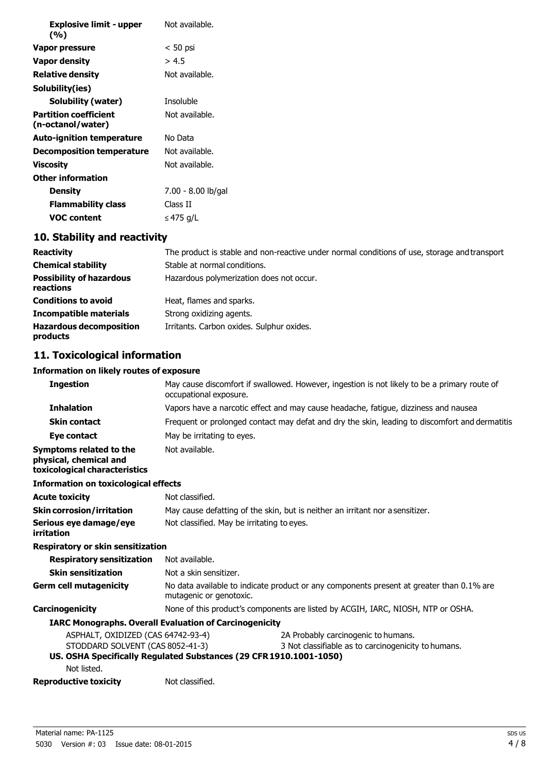| <b>Explosive limit - upper</b><br>(%)             | Not available.     |
|---------------------------------------------------|--------------------|
| Vapor pressure                                    | $< 50$ psi         |
| Vapor density                                     | > 4.5              |
| <b>Relative density</b>                           | Not available.     |
| Solubility(ies)                                   |                    |
| Solubility (water)                                | <b>Insoluble</b>   |
| <b>Partition coefficient</b><br>(n-octanol/water) | Not available.     |
| Auto-ignition temperature                         | No Data            |
| Decomposition temperature                         | Not available.     |
| Viscosity                                         | Not available.     |
| Other information                                 |                    |
| Density                                           | 7.00 - 8.00 lb/gal |
| Flammability class                                | Class II           |
| VOC content                                       | ≤ 475 g/L          |

#### **10. Stability and reactivity**

| <b>Reactivity</b>                            | The product is stable and non-reactive under normal conditions of use, storage and transport |
|----------------------------------------------|----------------------------------------------------------------------------------------------|
| <b>Chemical stability</b>                    | Stable at normal conditions.                                                                 |
| <b>Possibility of hazardous</b><br>reactions | Hazardous polymerization does not occur.                                                     |
| <b>Conditions to avoid</b>                   | Heat, flames and sparks.                                                                     |
| <b>Incompatible materials</b>                | Strong oxidizing agents.                                                                     |
| <b>Hazardous decomposition</b><br>products   | Irritants. Carbon oxides. Sulphur oxides.                                                    |

#### **11. Toxicological information**

#### **Information on likely routes of exposure**

| <b>Ingestion</b>                                                                   | May cause discomfort if swallowed. However, ingestion is not likely to be a primary route of<br>occupational exposure. |
|------------------------------------------------------------------------------------|------------------------------------------------------------------------------------------------------------------------|
| <b>Inhalation</b>                                                                  | Vapors have a narcotic effect and may cause headache, fatigue, dizziness and nausea                                    |
| <b>Skin contact</b>                                                                | Frequent or prolonged contact may defat and dry the skin, leading to discomfort and dermatitis                         |
| Eye contact                                                                        | May be irritating to eyes.                                                                                             |
| Symptoms related to the<br>physical, chemical and<br>toxicological characteristics | Not available.                                                                                                         |
| <b>Information on toxicological effects</b>                                        |                                                                                                                        |
| <b>Acute toxicity</b>                                                              | Not classified.                                                                                                        |
| <b>Skin corrosion/irritation</b>                                                   | May cause defatting of the skin, but is neither an irritant nor a sensitizer.                                          |
| Serious eye damage/eye<br><i>irritation</i>                                        | Not classified. May be irritating to eyes.                                                                             |
| Respiratory or skin sensitization                                                  |                                                                                                                        |
| <b>Respiratory sensitization</b>                                                   | Not available.                                                                                                         |
| <b>Skin sensitization</b>                                                          | Not a skin sensitizer.                                                                                                 |

## **Germ cell mutagenicity** No data available to indicate product or any components present at greater than 0.1% are mutagenic or genotoxic.

**Carcinogenicity** None of this product's components are listed by ACGIH, IARC, NIOSH, NTP or OSHA.

#### **IARC Monographs. Overall Evaluation of Carcinogenicity**

| ASPHALT, OXIDIZED (CAS 64742-93-4) |                                                                    | 2A Probably carcinogenic to humans.                 |
|------------------------------------|--------------------------------------------------------------------|-----------------------------------------------------|
| STODDARD SOLVENT (CAS 8052-41-3)   |                                                                    | 3 Not classifiable as to carcinogenicity to humans. |
|                                    | US. OSHA Specifically Regulated Substances (29 CFR 1910.1001-1050) |                                                     |
| Not listed.                        |                                                                    |                                                     |
| <b>Reproductive toxicity</b>       | Not classified.                                                    |                                                     |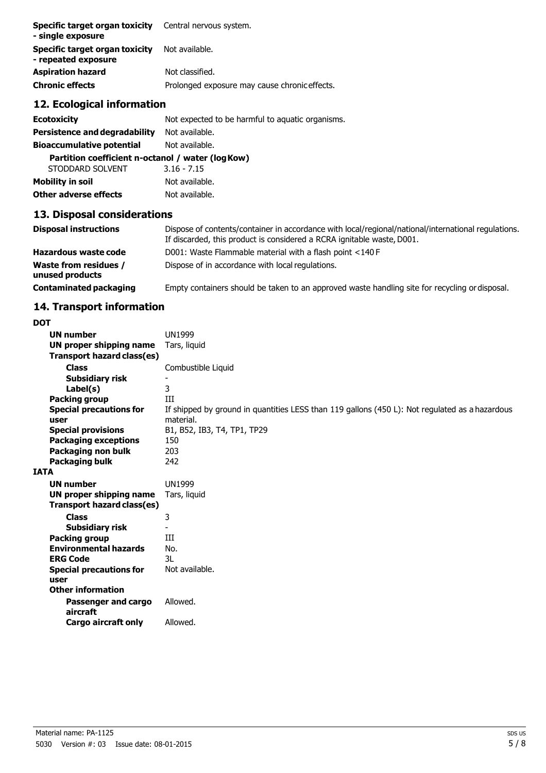| Specific target organ toxicity<br>- single exposure   | Central nervous system.                       |
|-------------------------------------------------------|-----------------------------------------------|
| Specific target organ toxicity<br>- repeated exposure | Not available.                                |
| <b>Aspiration hazard</b>                              | Not classified.                               |
| <b>Chronic effects</b>                                | Prolonged exposure may cause chronic effects. |

## **12. Ecological information**

| <b>Ecotoxicity</b>                                | Not expected to be harmful to aquatic organisms. |  |
|---------------------------------------------------|--------------------------------------------------|--|
| Persistence and degradability                     | Not available.                                   |  |
| <b>Bioaccumulative potential</b>                  | Not available.                                   |  |
| Partition coefficient n-octanol / water (log Kow) |                                                  |  |
| STODDARD SOLVENT                                  | $3.16 - 7.15$                                    |  |
| <b>Mobility in soil</b>                           | Not available.                                   |  |

# **Other adverse effects** Not available. **13. Disposal considerations Disposal instructions** Dispose of contents/container in accordance with local/regional/national/international regulations. If discarded, this product is considered a RCRA ignitable waste, D001.

|                                          | In discarded, this product is considered a richy rightable maste, bool.                        |
|------------------------------------------|------------------------------------------------------------------------------------------------|
| Hazardous waste code                     | D001: Waste Flammable material with a flash point <140 F                                       |
| Waste from residues /<br>unused products | Dispose of in accordance with local regulations.                                               |
| Contaminated packaging                   | Empty containers should be taken to an approved waste handling site for recycling or disposal. |

## **14. Transport information**

| DOT                               |                                                                                                |
|-----------------------------------|------------------------------------------------------------------------------------------------|
| <b>UN number</b>                  | <b>UN1999</b>                                                                                  |
| UN proper shipping name           | Tars, liquid                                                                                   |
| <b>Transport hazard class(es)</b> |                                                                                                |
| <b>Class</b>                      | Combustible Liquid                                                                             |
| <b>Subsidiary risk</b>            |                                                                                                |
| Label(s)                          | 3                                                                                              |
| <b>Packing group</b>              | Ш                                                                                              |
| <b>Special precautions for</b>    | If shipped by ground in quantities LESS than 119 gallons (450 L): Not regulated as a hazardous |
| user                              | material.                                                                                      |
| <b>Special provisions</b>         | B1, B52, IB3, T4, TP1, TP29                                                                    |
| <b>Packaging exceptions</b>       | 150                                                                                            |
| Packaging non bulk                | 203                                                                                            |
| Packaging bulk                    | 242                                                                                            |
| IATA                              |                                                                                                |
| <b>UN number</b>                  | <b>UN1999</b>                                                                                  |
| UN proper shipping name           | Tars, liquid                                                                                   |
| <b>Transport hazard class(es)</b> |                                                                                                |
| <b>Class</b>                      | 3                                                                                              |
| <b>Subsidiary risk</b>            |                                                                                                |
| <b>Packing group</b>              | Ш                                                                                              |
| <b>Environmental hazards</b>      | No.                                                                                            |
| <b>ERG Code</b>                   | 3L                                                                                             |
| <b>Special precautions for</b>    | Not available.                                                                                 |
| user                              |                                                                                                |
| <b>Other information</b>          |                                                                                                |
| Passenger and cargo<br>aircraft   | Allowed.                                                                                       |
| <b>Cargo aircraft only</b>        | Allowed.                                                                                       |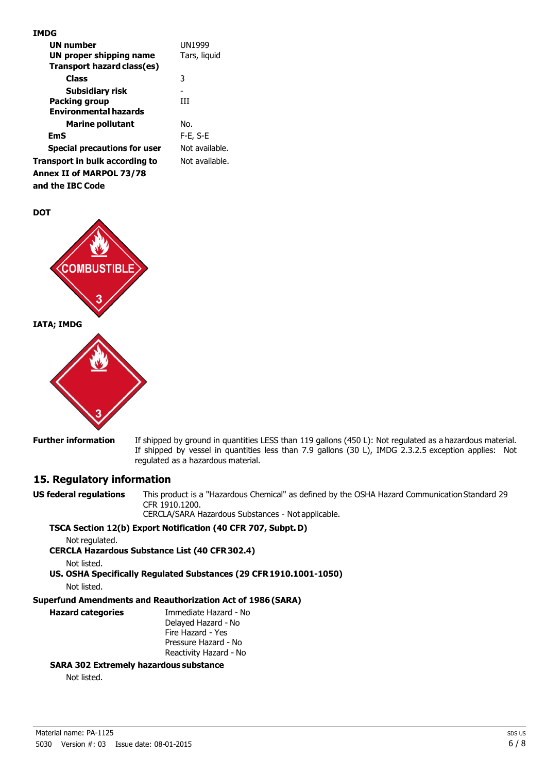| <b>UN number</b>                    | <b>UN1999</b>  |
|-------------------------------------|----------------|
| UN proper shipping name             | Tars, liquid   |
| Transport hazard class(es)          |                |
| Class                               | 3              |
| Subsidiary risk                     |                |
| <b>Packing group</b>                | ĦТ             |
| <b>Environmental hazards</b>        |                |
| <b>Marine pollutant</b>             | No.            |
| EmS                                 | F-E, S-E       |
| <b>Special precautions for user</b> | Not available. |
| Transport in bulk according to      | Not available. |
| Annex II of MARPOL 73/78            |                |
|                                     |                |

**and the IBC Code**





**Further information** If shipped by ground in quantities LESS than 119 gallons (450 L): Not regulated as a hazardous material. If shipped by vessel in quantities less than 7.9 gallons (30 L), IMDG 2.3.2.5 exception applies: Not regulated as a hazardous material.

#### **15. Regulatory information**

**US federal regulations** This product is a "Hazardous Chemical" as defined by the OSHA Hazard Communication Standard 29 CFR 1910.1200. CERCLA/SARA Hazardous Substances - Not applicable.

#### **TSCA Section 12(b) Export Notification (40 CFR 707, Subpt.D)**

Not regulated.

**CERCLA Hazardous Substance List (40 CFR302.4)**

Not listed.

**US. OSHA Specifically Regulated Substances (29 CFR1910.1001-1050)**

Not listed.

#### **Superfund Amendments and Reauthorization Act of 1986(SARA)**

| <b>Hazard categories</b> | Immediate Hazard - No<br>Delayed Hazard - No |
|--------------------------|----------------------------------------------|
|                          | Fire Hazard - Yes                            |
|                          | Pressure Hazard - No                         |
|                          | Reactivity Hazard - No                       |

#### **SARA 302 Extremely hazardous substance**

Not listed.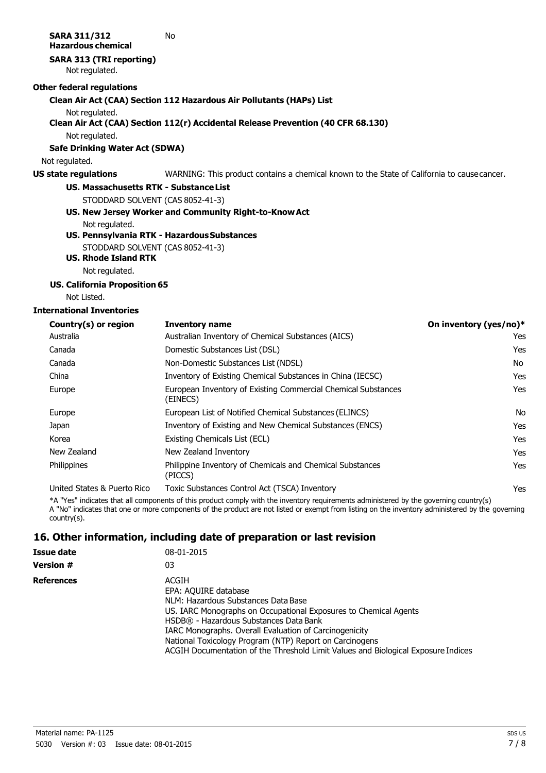## **16. Other information, including date of preparation or last revision**

| Issue date        | 08-01-2015                                                                                                                                                                                                                                                                                                                                                                                   |
|-------------------|----------------------------------------------------------------------------------------------------------------------------------------------------------------------------------------------------------------------------------------------------------------------------------------------------------------------------------------------------------------------------------------------|
| Version #         | 03                                                                                                                                                                                                                                                                                                                                                                                           |
| <b>References</b> | ACGIH<br>EPA: AQUIRE database<br>NLM: Hazardous Substances Data Base<br>US. IARC Monographs on Occupational Exposures to Chemical Agents<br>HSDB® - Hazardous Substances Data Bank<br>IARC Monographs. Overall Evaluation of Carcinogenicity<br>National Toxicology Program (NTP) Report on Carcinogens<br>ACGIH Documentation of the Threshold Limit Values and Biological Exposure Indices |

country(s).